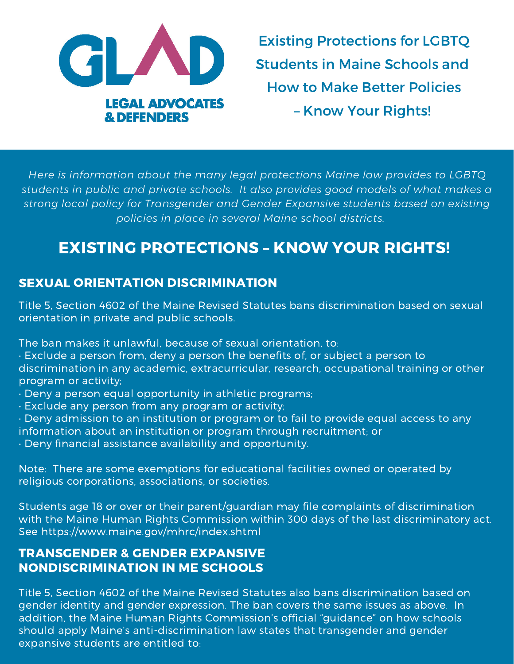

Existing Protections for LGBTQ Students in Maine Schools and How to Make Better Policies – Know Your Rights!

*Here is information about the many legal protections Maine law provides to LGBTQ students in public and private schools. It also provides good models of what makes a strong local policy for Transgender and Gender Expansive students based on existing policies in place in several Maine school districts.*

# EXISTING PROTECTIONS – KNOW YOUR RIGHTS!

## SEXUAL ORIENTATION DISCRIMINATION

Title 5, Section 4602 of the Maine Revised Statutes bans discrimination based on sexual orientation in private and public schools.

The ban makes it unlawful, because of sexual orientation, to:

• Exclude a person from, deny a person the benefits of, or subject a person to discrimination in any academic, extracurricular, research, occupational training or other program or activity;

- Deny a person equal opportunity in athletic programs;
- Exclude any person from any program or activity;
- Deny admission to an institution or program or to fail to provide equal access to any information about an institution or program through recruitment; or
- Deny financial assistance availability and opportunity.

Note: There are some exemptions for educational facilities owned or operated by religious corporations, associations, or societies.

Students age 18 or over or their parent/guardian may file complaints of discrimination with the Maine Human Rights Commission within 300 days of the last discriminatory act. See https://www.maine.gov/mhrc/index.shtml

## TRANSGENDER & GENDER EXPANSIVE NONDISCRIMINATION IN ME SCHOOLS

Title 5, Section 4602 of the Maine Revised Statutes also bans discrimination based on gender identity and gender expression. The ban covers the same issues as above. In addition, the Maine Human Rights Commission's official "guidance" on how schools should apply Maine's anti-discrimination law states that transgender and gender expansive students are entitled to: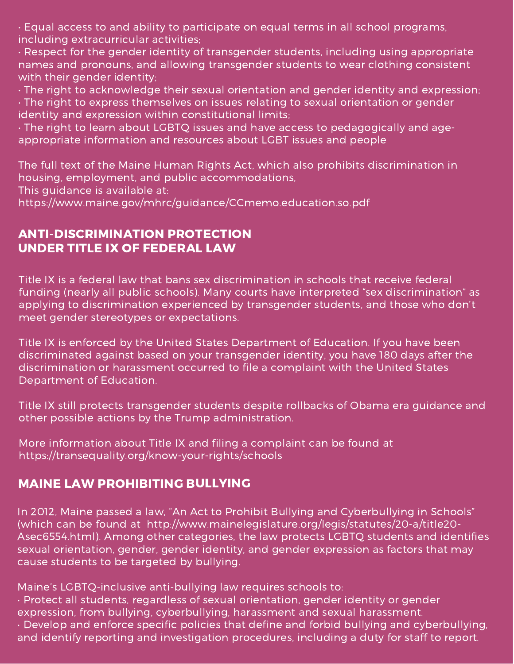• Equal access to and ability to participate on equal terms in all school programs, including extracurricular activities;

• Respect for the gender identity of transgender students, including using appropriate names and pronouns, and allowing transgender students to wear clothing consistent with their gender identity;

• The right to acknowledge their sexual orientation and gender identity and expression;

• The right to express themselves on issues relating to sexual orientation or gender identity and expression within constitutional limits;

• The right to learn about LGBTQ issues and have access to pedagogically and ageappropriate information and resources about LGBT issues and people

The full text of the Maine Human Rights Act, which also prohibits discrimination in housing, employment, and public accommodations,

This guidance is available at:

https://www.maine.gov/mhrc/guidance/CCmemo.education.so.pdf

### ANTI-DISCRIMINATION PROTECTION UNDER TITLE IX OF FEDERAL LAW

Title IX is a federal law that bans sex discrimination in schools that receive federal funding (nearly all public schools). Many courts have interpreted "sex discrimination" as applying to discrimination experienced by transgender students, and those who don't meet gender stereotypes or expectations.

Title IX is enforced by the United States Department of Education. If you have been discriminated against based on your transgender identity, you have 180 days after the discrimination or harassment occurred to file a complaint with the United States Department of Education.

Title IX still protects transgender students despite rollbacks of Obama era guidance and other possible actions by the Trump administration.

More information about Title IX and filing a complaint can be found at https://transequality.org/know-your-rights/schools

### MAINE LAW PROHIBITING BULLYING

In 2012, Maine passed a law, "An Act to Prohibit Bullying and Cyberbullying in Schools" (which can be found at http://www.mainelegislature.org/legis/statutes/20-a/title20- Asec6554.html). Among other categories, the law protects LGBTQ students and identifies sexual orientation, gender, gender identity, and gender expression as factors that may cause students to be targeted by bullying.

Maine's LGBTQ-inclusive anti-bullying law requires schools to: • Protect all students, regardless of sexual orientation, gender identity or gender expression, from bullying, cyberbullying, harassment and sexual harassment. • Develop and enforce specific policies that define and forbid bullying and cyberbullying, and identify reporting and investigation procedures, including a duty for staff to report.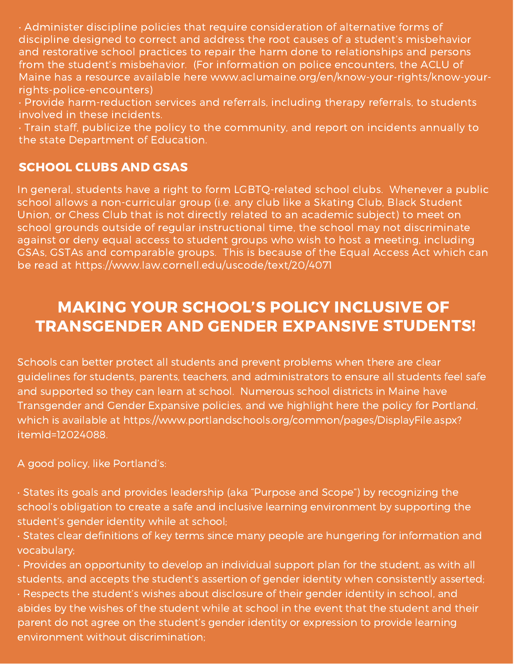• Administer discipline policies that require consideration of alternative forms of discipline designed to correct and address the root causes of a student's misbehavior and restorative school practices to repair the harm done to relationships and persons from the student's misbehavior. (For information on police encounters, the ACLU of Maine has a resource available here www.aclumaine.org/en/know-your-rights/know-yourrights-police-encounters)

• Provide harm-reduction services and referrals, including therapy referrals, to students involved in these incidents.

• Train staff, publicize the policy to the community, and report on incidents annually to the state Department of Education.

## SCHOOL CLUBS AND GSAS

In general, students have a right to form LGBTQ-related school clubs. Whenever a public school allows a non-curricular group (i.e. any club like a Skating Club, Black Student Union, or Chess Club that is not directly related to an academic subject) to meet on school grounds outside of regular instructional time, the school may not discriminate against or deny equal access to student groups who wish to host a meeting, including GSAs, GSTAs and comparable groups. This is because of the Equal Access Act which can be read at https://www.law.cornell.edu/uscode/text/20/4071

# MAKING YOUR SCHOOL'S POLICY INCLUSIVE OF TRANSGENDER AND GENDER EXPANSIVE STUDENTS!

Schools can better protect all students and prevent problems when there are clear guidelines for students, parents, teachers, and administrators to ensure all students feel safe and supported so they can learn at school. Numerous school districts in Maine have Transgender and Gender Expansive policies, and we highlight here the policy for Portland, which is available at https://www.portlandschools.org/common/pages/DisplayFile.aspx? itemId=12024088.

A good policy, like Portland's:

• States its goals and provides leadership (aka "Purpose and Scope") by recognizing the school's obligation to create a safe and inclusive learning environment by supporting the student's gender identity while at school;

• States clear definitions of key terms since many people are hungering for information and vocabulary;

• Provides an opportunity to develop an individual support plan for the student, as with all students, and accepts the student's assertion of gender identity when consistently asserted; • Respects the student's wishes about disclosure of their gender identity in school, and abides by the wishes of the student while at school in the event that the student and their parent do not agree on the student's gender identity or expression to provide learning environment without discrimination;